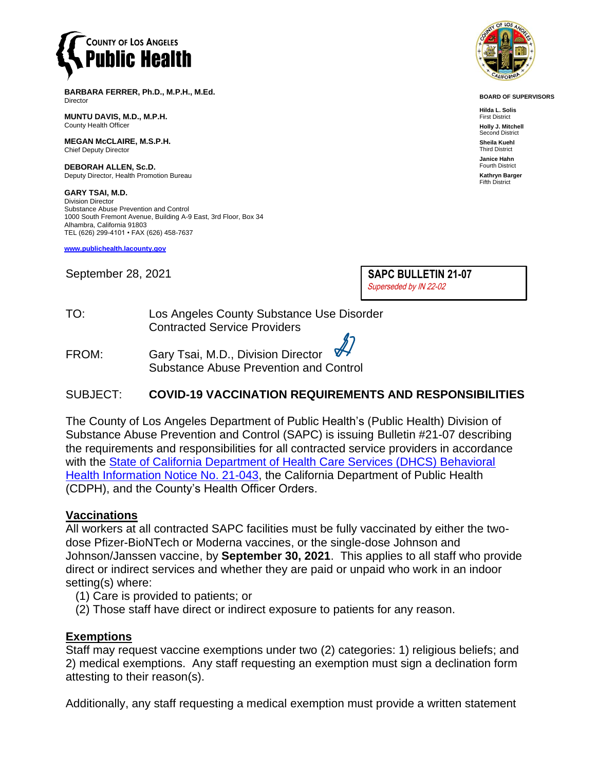

**BARBARA FERRER, Ph.D., M.P.H., M.Ed.** Director

**MUNTU DAVIS, M.D., M.P.H.** County Health Officer

**MEGAN McCLAIRE, M.S.P.H.** Chief Deputy Director

**DEBORAH ALLEN, Sc.D.** Deputy Director, Health Promotion Bureau

**GARY TSAI, M.D.** Division Director Substance Abuse Prevention and Control 1000 South Fremont Avenue, Building A-9 East, 3rd Floor, Box 34 Alhambra, California 91803 TEL (626) 299-4101 • FAX (626) 458-7637

**[www.publichealth.lacounty.gov](http://www.publichealth.lacounty.gov/)**

September 28, 2021

**SAPC BULLETIN 21-07**  Superseded by IN 22-02

TO: Los Angeles County Substance Use Disorder Contracted Service Providers

FROM: Gary Tsai, M.D., Division Director Substance Abuse Prevention and Control

## SUBJECT: **COVID-19 VACCINATION REQUIREMENTS AND RESPONSIBILITIES**

The County of Los Angeles Department of Public Health's (Public Health) Division of Substance Abuse Prevention and Control (SAPC) is issuing Bulletin #21-07 describing the requirements and responsibilities for all contracted service providers in accordance with the [State of California Department of Health Care Services \(DHCS\) Behavioral](https://www.dhcs.ca.gov/formsandpubs/Documents/BHIN-21-043.pdf)  [Health Information Notice No. 21-043,](https://www.dhcs.ca.gov/formsandpubs/Documents/BHIN-21-043.pdf) the California Department of Public Health (CDPH), and the County's Health Officer Orders.

### **Vaccinations**

All workers at all contracted SAPC facilities must be fully vaccinated by either the twodose Pfizer-BioNTech or Moderna vaccines, or the single-dose Johnson and Johnson/Janssen vaccine, by **September 30, 2021**. This applies to all staff who provide direct or indirect services and whether they are paid or unpaid who work in an indoor setting(s) where:

- (1) Care is provided to patients; or
- (2) Those staff have direct or indirect exposure to patients for any reason.

#### **Exemptions**

Staff may request vaccine exemptions under two (2) categories: 1) religious beliefs; and 2) medical exemptions. Any staff requesting an exemption must sign a declination form attesting to their reason(s).

Additionally, any staff requesting a medical exemption must provide a written statement



**BOARD OF SUPERVISORS**

**Hilda L. Solis** First District **Holly J. Mitchell** Second District **Sheila Kuehl** Third District **Janice Hahn** Fourth District **Kathryn Barger** Fifth District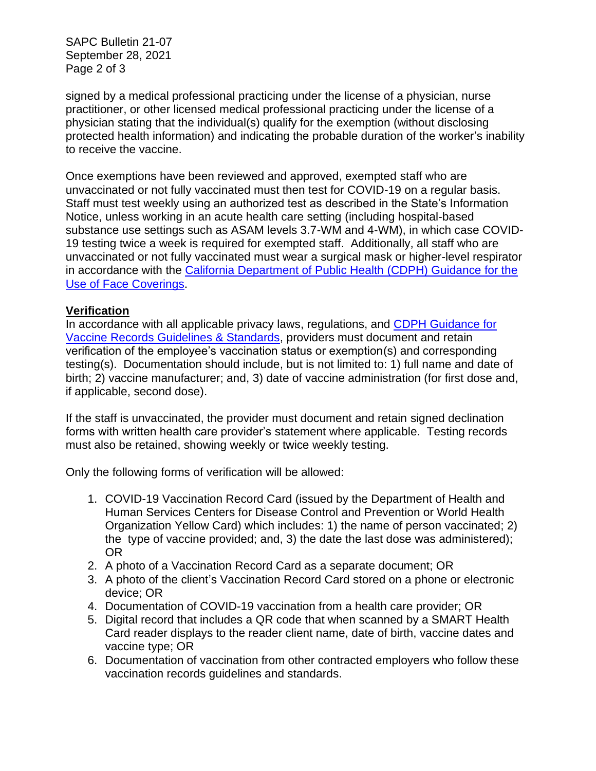SAPC Bulletin 21-07 September 28, 2021 Page 2 of 3

signed by a medical professional practicing under the license of a physician, nurse practitioner, or other licensed medical professional practicing under the license of a physician stating that the individual(s) qualify for the exemption (without disclosing protected health information) and indicating the probable duration of the worker's inability to receive the vaccine.

Once exemptions have been reviewed and approved, exempted staff who are unvaccinated or not fully vaccinated must then test for COVID-19 on a regular basis. Staff must test weekly using an authorized test as described in the State's Information Notice, unless working in an acute health care setting (including hospital-based substance use settings such as ASAM levels 3.7-WM and 4-WM), in which case COVID-19 testing twice a week is required for exempted staff. Additionally, all staff who are unvaccinated or not fully vaccinated must wear a surgical mask or higher-level respirator in accordance with the California Department of Public Health (CDPH) Guidance for the [Use of Face Coverings.](https://www.cdph.ca.gov/Programs/CID/DCDC/Pages/COVID-19/guidance-for-face-coverings.aspx)

# **Verification**

In accordance with all applicable privacy laws, regulations, and [CDPH Guidance for](https://www.cdph.ca.gov/Programs/CID/DCDC/Pages/COVID-19/Vaccine-Record-Guidelines-Standards.aspx)  [Vaccine Records Guidelines & Standards,](https://www.cdph.ca.gov/Programs/CID/DCDC/Pages/COVID-19/Vaccine-Record-Guidelines-Standards.aspx) providers must document and retain verification of the employee's vaccination status or exemption(s) and corresponding testing(s). Documentation should include, but is not limited to: 1) full name and date of birth; 2) vaccine manufacturer; and, 3) date of vaccine administration (for first dose and, if applicable, second dose).

If the staff is unvaccinated, the provider must document and retain signed declination forms with written health care provider's statement where applicable. Testing records must also be retained, showing weekly or twice weekly testing.

Only the following forms of verification will be allowed:

- 1. COVID-19 Vaccination Record Card (issued by the Department of Health and Human Services Centers for Disease Control and Prevention or World Health Organization Yellow Card) which includes: 1) the name of person vaccinated; 2) the type of vaccine provided; and, 3) the date the last dose was administered); OR
- 2. A photo of a Vaccination Record Card as a separate document; OR
- 3. A photo of the client's Vaccination Record Card stored on a phone or electronic device; OR
- 4. Documentation of COVID-19 vaccination from a health care provider; OR
- 5. Digital record that includes a QR code that when scanned by a SMART Health Card reader displays to the reader client name, date of birth, vaccine dates and vaccine type; OR
- 6. Documentation of vaccination from other contracted employers who follow these vaccination records guidelines and standards.